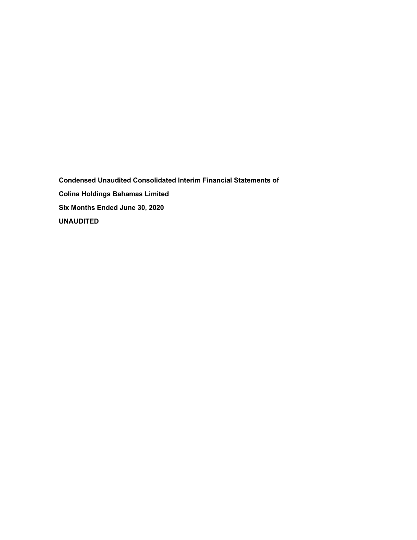**Condensed Unaudited Consolidated Interim Financial Statements of Colina Holdings Bahamas Limited Six Months Ended June 30, 2020 UNAUDITED**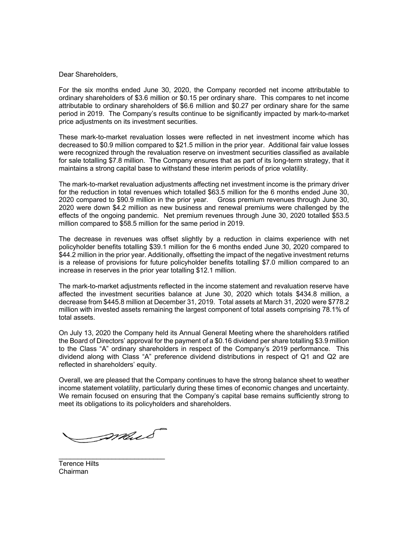Dear Shareholders,

For the six months ended June 30, 2020, the Company recorded net income attributable to ordinary shareholders of \$3.6 million or \$0.15 per ordinary share. This compares to net income attributable to ordinary shareholders of \$6.6 million and \$0.27 per ordinary share for the same period in 2019. The Company's results continue to be significantly impacted by mark-to-market price adjustments on its investment securities.

These mark-to-market revaluation losses were reflected in net investment income which has decreased to \$0.9 million compared to \$21.5 million in the prior year. Additional fair value losses were recognized through the revaluation reserve on investment securities classified as available for sale totalling \$7.8 million. The Company ensures that as part of its long-term strategy, that it maintains a strong capital base to withstand these interim periods of price volatility.

The mark-to-market revaluation adjustments affecting net investment income is the primary driver for the reduction in total revenues which totalled \$63.5 million for the 6 months ended June 30, 2020 compared to \$90.9 million in the prior year. Gross premium revenues through June 30, 2020 were down \$4.2 million as new business and renewal premiums were challenged by the effects of the ongoing pandemic. Net premium revenues through June 30, 2020 totalled \$53.5 million compared to \$58.5 million for the same period in 2019.

The decrease in revenues was offset slightly by a reduction in claims experience with net policyholder benefits totalling \$39.1 million for the 6 months ended June 30, 2020 compared to \$44.2 million in the prior year. Additionally, offsetting the impact of the negative investment returns is a release of provisions for future policyholder benefits totalling \$7.0 million compared to an increase in reserves in the prior year totalling \$12.1 million.

The mark-to-market adjustments reflected in the income statement and revaluation reserve have affected the investment securities balance at June 30, 2020 which totals \$434.8 million, a decrease from \$445.8 million at December 31, 2019. Total assets at March 31, 2020 were \$778.2 million with invested assets remaining the largest component of total assets comprising 78.1% of total assets.

On July 13, 2020 the Company held its Annual General Meeting where the shareholders ratified the Board of Directors' approval for the payment of a \$0.16 dividend per share totalling \$3.9 million to the Class "A" ordinary shareholders in respect of the Company's 2019 performance. This dividend along with Class "A" preference dividend distributions in respect of Q1 and Q2 are reflected in shareholders' equity.

Overall, we are pleased that the Company continues to have the strong balance sheet to weather income statement volatility, particularly during these times of economic changes and uncertainty. We remain focused on ensuring that the Company's capital base remains sufficiently strong to meet its obligations to its policyholders and shareholders.

mail

\_\_\_\_\_\_\_\_\_\_\_\_\_\_\_\_\_\_\_\_\_\_\_\_\_\_\_\_

Terence Hilts Chairman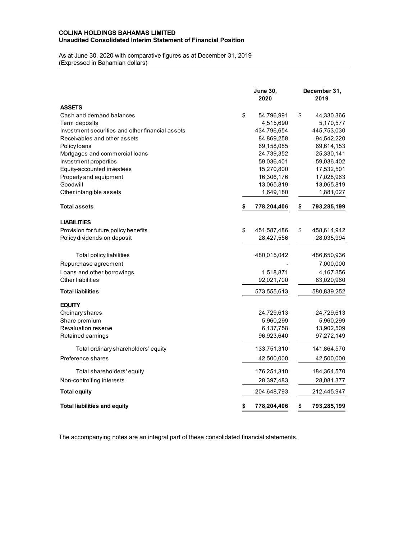## **COLINA HOLDINGS BAHAMAS LIMITED Unaudited Consolidated Interim Statement of Financial Position**

## As at June 30, 2020 with comparative figures as at December 31, 2019 (Expressed in Bahamian dollars)

|                                                  | <b>June 30,</b><br>2020 | December 31,<br>2019 |
|--------------------------------------------------|-------------------------|----------------------|
| <b>ASSETS</b>                                    |                         |                      |
| Cash and demand balances                         | \$<br>54,796,991        | \$<br>44,330,366     |
| Term deposits                                    | 4,515,690               | 5,170,577            |
| Investment securities and other financial assets | 434,796,654             | 445,753,030          |
| Receivables and other assets                     | 84,869,258              | 94,542,220           |
| Policy loans                                     | 69,158,085              | 69,614,153           |
| Mortgages and commercial loans                   | 24,739,352              | 25,330,141           |
| Investment properties                            | 59,036,401              | 59,036,402           |
| Equity-accounted investees                       | 15,270,800              | 17,532,501           |
| Property and equipment                           | 16,306,176              | 17,028,963           |
| Goodwill                                         | 13,065,819              | 13,065,819           |
| Other intangible assets                          | 1,649,180               | 1,881,027            |
| <b>Total assets</b>                              | \$<br>778,204,406       | \$<br>793,285,199    |
| <b>LIABILITIES</b>                               |                         |                      |
| Provision for future policy benefits             | \$<br>451,587,486       | \$<br>458,614,942    |
| Policy dividends on deposit                      | 28,427,556              | 28,035,994           |
| Total policy liabilities                         | 480,015,042             | 486,650,936          |
| Repurchase agreement                             |                         | 7,000,000            |
| Loans and other borrowings                       | 1,518,871               | 4,167,356            |
| Other liabilities                                | 92,021,700              | 83,020,960           |
| <b>Total liabilities</b>                         | 573,555,613             | 580,839,252          |
| <b>EQUITY</b>                                    |                         |                      |
| Ordinary shares                                  | 24,729,613              | 24,729,613           |
| Share premium                                    | 5,960,299               | 5,960,299            |
| <b>Revaluation reserve</b>                       | 6,137,758               | 13,902,509           |
| Retained earnings                                | 96,923,640              | 97,272,149           |
| Total ordinary shareholders' equity              | 133,751,310             | 141,864,570          |
| Preference shares                                | 42,500,000              | 42,500,000           |
| Total shareholders' equity                       | 176,251,310             | 184,364,570          |
| Non-controlling interests                        | 28,397,483              | 28,081,377           |
| <b>Total equity</b>                              | 204,648,793             | 212,445,947          |
| <b>Total liabilities and equity</b>              | \$<br>778,204,406       | \$<br>793,285,199    |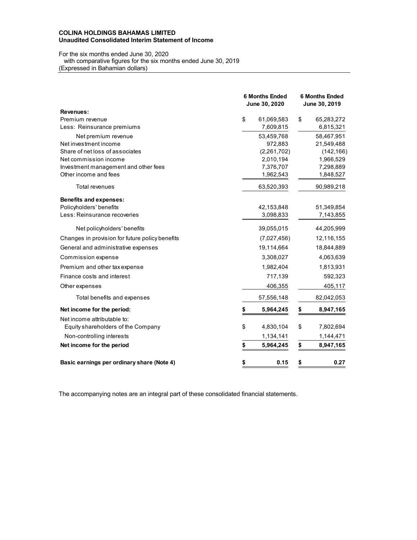## **COLINA HOLDINGS BAHAMAS LIMITED Unaudited Consolidated Interim Statement of Income**

# For the six months ended June 30, 2020

 with comparative figures for the six months ended June 30, 2019 (Expressed in Bahamian dollars)

|                                                 | <b>6 Months Ended</b><br>June 30, 2020 |             | <b>6 Months Ended</b><br>June 30, 2019 |            |  |
|-------------------------------------------------|----------------------------------------|-------------|----------------------------------------|------------|--|
| <b>Revenues:</b>                                |                                        |             |                                        |            |  |
| Premium revenue                                 | \$                                     | 61,069,583  | \$                                     | 65,283,272 |  |
| Less: Reinsurance premiums                      |                                        | 7,609,815   |                                        | 6,815,321  |  |
| Net premium revenue                             |                                        | 53,459,768  |                                        | 58,467,951 |  |
| Net investment income                           |                                        | 972,883     |                                        | 21,549,488 |  |
| Share of net loss of associates                 |                                        | (2,261,702) |                                        | (142, 166) |  |
| Net commission income                           |                                        | 2,010,194   |                                        | 1,966,529  |  |
| Investment management and other fees            |                                        | 7,376,707   |                                        | 7,298,889  |  |
| Other income and fees                           |                                        | 1,962,543   |                                        | 1,848,527  |  |
| <b>Total revenues</b>                           |                                        | 63,520,393  |                                        | 90,989,218 |  |
| <b>Benefits and expenses:</b>                   |                                        |             |                                        |            |  |
| Policyholders' benefits                         |                                        | 42,153,848  |                                        | 51,349,854 |  |
| Less: Reinsurance recoveries                    |                                        | 3,098,833   |                                        | 7,143,855  |  |
| Net policyholders' benefits                     |                                        | 39,055,015  |                                        | 44,205,999 |  |
| Changes in provision for future policy benefits |                                        | (7,027,456) |                                        | 12,116,155 |  |
| General and administrative expenses             |                                        | 19,114,664  |                                        | 18,844,889 |  |
| Commission expense                              |                                        | 3,308,027   |                                        | 4,063,639  |  |
| Premium and other tax expense                   |                                        | 1,982,404   |                                        | 1,813,931  |  |
| Finance costs and interest                      |                                        | 717,139     |                                        | 592,323    |  |
| Other expenses                                  |                                        | 406,355     |                                        | 405,117    |  |
| Total benefits and expenses                     |                                        | 57,556,148  |                                        | 82,042,053 |  |
| Net income for the period:                      | \$                                     | 5,964,245   | \$                                     | 8,947,165  |  |
| Net income attributable to:                     |                                        |             |                                        |            |  |
| Equity shareholders of the Company              | \$                                     | 4,830,104   | \$                                     | 7,802,694  |  |
| Non-controlling interests                       |                                        | 1,134,141   |                                        | 1,144,471  |  |
| Net income for the period                       | \$                                     | 5,964,245   | \$                                     | 8,947,165  |  |
| Basic earnings per ordinary share (Note 4)      | \$                                     | 0.15        | \$                                     | 0.27       |  |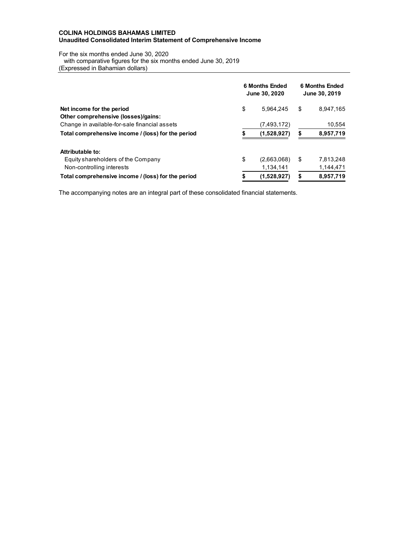## **COLINA HOLDINGS BAHAMAS LIMITED Unaudited Consolidated Interim Statement of Comprehensive Income**

For the six months ended June 30, 2020

with comparative figures for the six months ended June 30, 2019

(Expressed in Bahamian dollars)

|                                                    |    | <b>6 Months Ended</b><br>June 30, 2020 | <b>6 Months Ended</b><br>June 30, 2019 |           |  |
|----------------------------------------------------|----|----------------------------------------|----------------------------------------|-----------|--|
| Net income for the period                          | \$ | 5.964.245                              | \$                                     | 8,947,165 |  |
| Other comprehensive (losses)/gains:                |    |                                        |                                        |           |  |
| Change in available-for-sale financial assets      |    | (7,493,172)                            |                                        | 10,554    |  |
| Total comprehensive income / (loss) for the period | S  | (1,528,927)                            | S                                      | 8,957,719 |  |
| Attributable to:                                   |    |                                        |                                        |           |  |
| Equity shareholders of the Company                 | \$ | (2,663,068)                            | S                                      | 7,813,248 |  |
| Non-controlling interests                          |    | 1.134.141                              |                                        | 1,144,471 |  |
| Total comprehensive income / (loss) for the period | \$ | (1,528,927)                            | S                                      | 8,957,719 |  |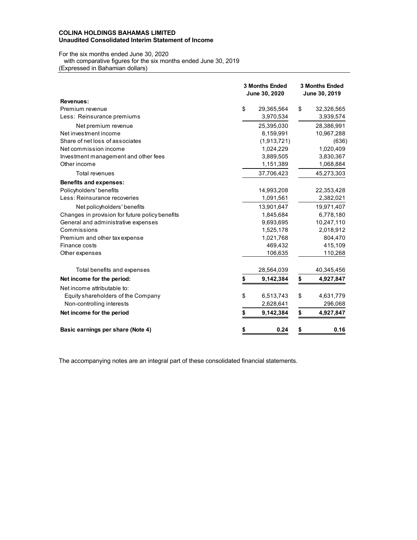## **COLINA HOLDINGS BAHAMAS LIMITED Unaudited Consolidated Interim Statement of Income**

# For the six months ended June 30, 2020

 with comparative figures for the six months ended June 30, 2019 (Expressed in Bahamian dollars)

|                                                 | <b>3 Months Ended</b><br>June 30, 2020 |             |    | <b>3 Months Ended</b><br>June 30, 2019 |  |  |  |
|-------------------------------------------------|----------------------------------------|-------------|----|----------------------------------------|--|--|--|
| <b>Revenues:</b>                                |                                        |             |    |                                        |  |  |  |
| Premium revenue                                 | \$                                     | 29,365,564  | \$ | 32,326,565                             |  |  |  |
| Less: Reinsurance premiums                      |                                        | 3,970,534   |    | 3,939,574                              |  |  |  |
| Net premium revenue                             |                                        | 25,395,030  |    | 28,386,991                             |  |  |  |
| Net investment income                           |                                        | 8,159,991   |    | 10,967,288                             |  |  |  |
| Share of net loss of associates                 |                                        | (1,913,721) |    | (636)                                  |  |  |  |
| Net commission income                           |                                        | 1,024,229   |    | 1,020,409                              |  |  |  |
| Investment management and other fees            |                                        | 3,889,505   |    | 3,830,367                              |  |  |  |
| Other income                                    |                                        | 1,151,389   |    | 1,068,884                              |  |  |  |
| <b>Total revenues</b>                           |                                        | 37,706,423  |    | 45,273,303                             |  |  |  |
| <b>Benefits and expenses:</b>                   |                                        |             |    |                                        |  |  |  |
| Policyholders' benefits                         |                                        | 14,993,208  |    | 22,353,428                             |  |  |  |
| Less: Reinsurance recoveries                    |                                        | 1,091,561   |    | 2,382,021                              |  |  |  |
| Net policyholders' benefits                     |                                        | 13,901,647  |    | 19,971,407                             |  |  |  |
| Changes in provision for future policy benefits |                                        | 1,845,684   |    | 6,778,180                              |  |  |  |
| General and administrative expenses             |                                        | 9,693,695   |    | 10,247,110                             |  |  |  |
| Commissions                                     |                                        | 1,525,178   |    | 2,018,912                              |  |  |  |
| Premium and other tax expense                   |                                        | 1,021,768   |    | 804,470                                |  |  |  |
| Finance costs                                   |                                        | 469,432     |    | 415,109                                |  |  |  |
| Other expenses                                  |                                        | 106,635     |    | 110,268                                |  |  |  |
| Total benefits and expenses                     |                                        | 28,564,039  |    | 40,345,456                             |  |  |  |
| Net income for the period:                      | \$                                     | 9,142,384   | \$ | 4,927,847                              |  |  |  |
| Net income attributable to:                     |                                        |             |    |                                        |  |  |  |
| Equity shareholders of the Company              | \$                                     | 6,513,743   | \$ | 4,631,779                              |  |  |  |
| Non-controlling interests                       |                                        | 2,628,641   |    | 296,068                                |  |  |  |
| Net income for the period                       | \$                                     | 9,142,384   | \$ | 4,927,847                              |  |  |  |
| Basic earnings per share (Note 4)               | \$                                     | 0.24        | \$ | 0.16                                   |  |  |  |
|                                                 |                                        |             |    |                                        |  |  |  |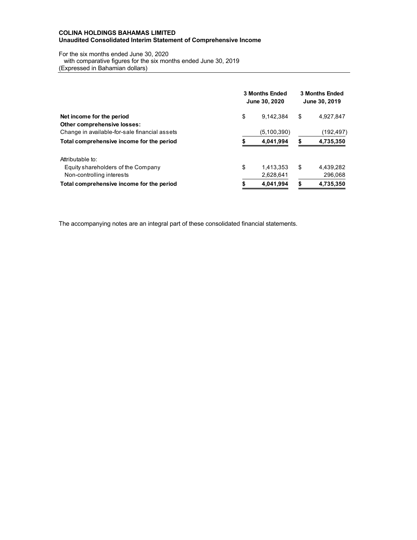## **COLINA HOLDINGS BAHAMAS LIMITED Unaudited Consolidated Interim Statement of Comprehensive Income**

For the six months ended June 30, 2020

with comparative figures for the six months ended June 30, 2019

(Expressed in Bahamian dollars)

|                                               | <b>3 Months Ended</b><br>June 30, 2020 |             |    | <b>3 Months Ended</b><br>June 30, 2019 |  |  |
|-----------------------------------------------|----------------------------------------|-------------|----|----------------------------------------|--|--|
| Net income for the period                     | \$                                     | 9.142.384   | \$ | 4,927,847                              |  |  |
| Other comprehensive losses:                   |                                        |             |    |                                        |  |  |
| Change in available-for-sale financial assets |                                        | (5,100,390) |    | (192,497)                              |  |  |
| Total comprehensive income for the period     |                                        | 4.041.994   | \$ | 4,735,350                              |  |  |
| Attributable to:                              |                                        |             |    |                                        |  |  |
| Equity shareholders of the Company            | \$                                     | 1.413.353   | \$ | 4.439.282                              |  |  |
| Non-controlling interests                     |                                        | 2,628,641   |    | 296,068                                |  |  |
| Total comprehensive income for the period     |                                        | 4.041.994   | \$ | 4,735,350                              |  |  |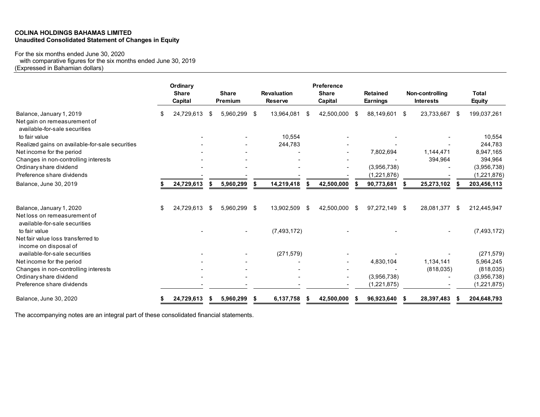## **COLINA HOLDINGS BAHAMAS LIMITED Unaudited Consolidated Statement of Changes in Equity**

# For the six months ended June 30, 2020

with comparative figures for the six months ended June 30, 2019

(Expressed in Bahamian dollars)

|                                                               |    | Ordinary<br><b>Share</b><br>Capital |      | <b>Share</b><br>Premium |      | <b>Revaluation</b><br><b>Reserve</b> |      | Preference<br><b>Share</b><br>Capital |    | <b>Retained</b><br><b>Earnings</b> |    | Non-controlling<br><b>Interests</b> |      | <b>Total</b><br><b>Equity</b> |
|---------------------------------------------------------------|----|-------------------------------------|------|-------------------------|------|--------------------------------------|------|---------------------------------------|----|------------------------------------|----|-------------------------------------|------|-------------------------------|
| Balance, January 1, 2019                                      | S  | 24,729,613                          | - \$ | 5,960,299               | - \$ | 13,964,081                           | - \$ | 42,500,000                            | -S | 88,149,601                         | -S | 23,733,667                          | - \$ | 199,037,261                   |
| Net gain on remeasurement of<br>available-for-sale securities |    |                                     |      |                         |      |                                      |      |                                       |    |                                    |    |                                     |      |                               |
| to fair value                                                 |    |                                     |      |                         |      | 10,554                               |      |                                       |    |                                    |    |                                     |      | 10,554                        |
| Realized gains on available-for-sale securities               |    |                                     |      |                         |      | 244,783                              |      |                                       |    |                                    |    |                                     |      | 244,783                       |
| Net income for the period                                     |    |                                     |      |                         |      |                                      |      |                                       |    | 7,802,694                          |    | 1,144,471                           |      | 8,947,165                     |
| Changes in non-controlling interests                          |    |                                     |      |                         |      |                                      |      |                                       |    |                                    |    | 394,964                             |      | 394,964                       |
| Ordinary share dividend                                       |    |                                     |      |                         |      |                                      |      |                                       |    | (3,956,738)                        |    |                                     |      | (3,956,738)                   |
| Preference share dividends                                    |    |                                     |      |                         |      |                                      |      |                                       |    | (1,221,876)                        |    |                                     |      | (1,221,876)                   |
| Balance, June 30, 2019                                        |    | 24,729,613                          |      | 5,960,299               | \$   | 14,219,418                           | - \$ | 42,500,000                            |    | 90,773,681                         | S  | 25,273,102                          |      | 203,456,113                   |
| Balance, January 1, 2020                                      | \$ | 24,729,613                          | - \$ | 5,960,299 \$            |      | 13,902,509                           | - \$ | 42,500,000                            | -S | 97,272,149 \$                      |    | 28,081,377                          | - \$ | 212,445,947                   |
| Net loss on remeasurement of<br>available-for-sale securities |    |                                     |      |                         |      |                                      |      |                                       |    |                                    |    |                                     |      |                               |
| to fair value                                                 |    |                                     |      |                         |      | (7,493,172)                          |      |                                       |    |                                    |    |                                     |      | (7,493,172)                   |
| Net fair value loss transferred to                            |    |                                     |      |                         |      |                                      |      |                                       |    |                                    |    |                                     |      |                               |
| income on disposal of<br>available-for-sale securities        |    |                                     |      |                         |      |                                      |      |                                       |    |                                    |    |                                     |      |                               |
| Net income for the period                                     |    |                                     |      |                         |      | (271, 579)                           |      |                                       |    | 4,830,104                          |    | 1,134,141                           |      | (271, 579)<br>5,964,245       |
| Changes in non-controlling interests                          |    |                                     |      |                         |      |                                      |      |                                       |    |                                    |    | (818, 035)                          |      | (818, 035)                    |
| Ordinary share dividend                                       |    |                                     |      |                         |      |                                      |      | $\overline{\phantom{0}}$              |    | (3,956,738)                        |    |                                     |      | (3,956,738)                   |
| Preference share dividends                                    |    |                                     |      |                         |      |                                      |      |                                       |    | (1,221,875)                        |    |                                     |      | (1,221,875)                   |
| Balance, June 30, 2020                                        |    | 24,729,613                          |      | 5,960,299               | S    | 6,137,758                            |      | 42,500,000                            |    | 96,923,640                         |    | 28,397,483                          |      | 204,648,793                   |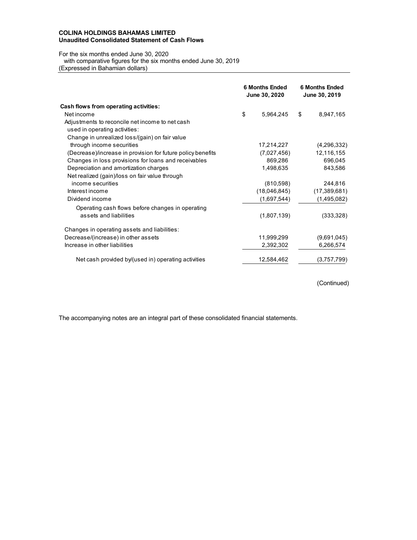## **COLINA HOLDINGS BAHAMAS LIMITED Unaudited Consolidated Statement of Cash Flows**

For the six months ended June 30, 2020

with comparative figures for the six months ended June 30, 2019

(Expressed in Bahamian dollars)

|                                                             | <b>6 Months Ended</b><br>June 30, 2020 | <b>6 Months Ended</b><br>June 30, 2019 |
|-------------------------------------------------------------|----------------------------------------|----------------------------------------|
| Cash flows from operating activities:                       |                                        |                                        |
| Net income                                                  | \$<br>5,964,245                        | \$<br>8,947,165                        |
| Adjustments to reconcile net income to net cash             |                                        |                                        |
| used in operating activities:                               |                                        |                                        |
| Change in unrealized loss/(gain) on fair value              |                                        |                                        |
| through income securities                                   | 17,214,227                             | (4,296,332)                            |
| (Decrease)/increase in provision for future policy benefits | (7,027,456)                            | 12,116,155                             |
| Changes in loss provisions for loans and receivables        | 869,286                                | 696,045                                |
| Depreciation and amortization charges                       | 1,498,635                              | 843,586                                |
| Net realized (gain)/loss on fair value through              |                                        |                                        |
| income securities                                           | (810,598)                              | 244,816                                |
| Interest income                                             | (18,046,845)                           | (17,389,681)                           |
| Dividend income                                             | (1,697,544)                            | (1,495,082)                            |
| Operating cash flows before changes in operating            |                                        |                                        |
| assets and liabilities                                      | (1,807,139)                            | (333, 328)                             |
| Changes in operating assets and liabilities:                |                                        |                                        |
| Decrease/(increase) in other assets                         | 11,999,299                             | (9,691,045)                            |
| Increase in other liabilities                               | 2,392,302                              | 6,266,574                              |
| Net cash provided by/(used in) operating activities         | 12,584,462                             | (3,757,799)                            |

(Continued)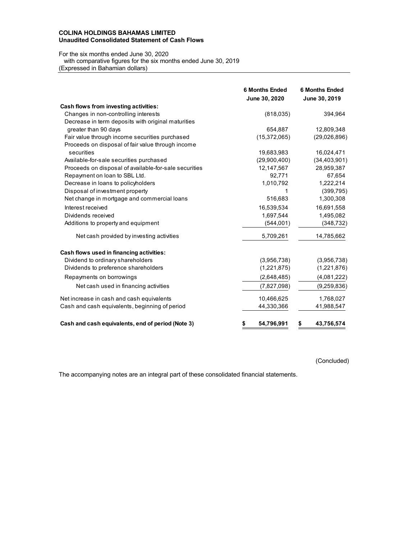## **COLINA HOLDINGS BAHAMAS LIMITED Unaudited Consolidated Statement of Cash Flows**

For the six months ended June 30, 2020

 with comparative figures for the six months ended June 30, 2019 (Expressed in Bahamian dollars)

|                                                       | <b>6 Months Ended</b><br>June 30, 2020 | <b>6 Months Ended</b><br>June 30, 2019 |
|-------------------------------------------------------|----------------------------------------|----------------------------------------|
| Cash flows from investing activities:                 |                                        |                                        |
| Changes in non-controlling interests                  | (818, 035)                             | 394,964                                |
| Decrease in term deposits with original maturities    |                                        |                                        |
| greater than 90 days                                  | 654.887                                | 12,809,348                             |
| Fair value through income securities purchased        | (15, 372, 065)                         | (29,026,896)                           |
| Proceeds on disposal of fair value through income     |                                        |                                        |
| securities                                            | 19,683,983                             | 16,024,471                             |
| Available-for-sale securities purchased               | (29,900,400)                           | (34, 403, 901)                         |
| Proceeds on disposal of available-for-sale securities | 12,147,567                             | 28,959,387                             |
| Repayment on loan to SBL Ltd.                         | 92,771                                 | 67,654                                 |
| Decrease in loans to policyholders                    | 1,010,792                              | 1,222,214                              |
| Disposal of investment property                       | 1                                      | (399, 795)                             |
| Net change in mortgage and commercial loans           | 516,683                                | 1,300,308                              |
| Interest received                                     | 16,539,534                             | 16,691,558                             |
| Dividends received                                    | 1,697,544                              | 1,495,082                              |
| Additions to property and equipment                   | (544,001)                              | (348, 732)                             |
| Net cash provided by investing activities             | 5,709,261                              | 14,785,662                             |
| Cash flows used in financing activities:              |                                        |                                        |
| Dividend to ordinary shareholders                     | (3,956,738)                            | (3,956,738)                            |
| Dividends to preference shareholders                  | (1,221,875)                            | (1,221,876)                            |
| Repayments on borrowings                              | (2,648,485)                            | (4,081,222)                            |
| Net cash used in financing activities                 | (7,827,098)                            | (9,259,836)                            |
| Net increase in cash and cash equivalents             | 10,466,625                             | 1,768,027                              |
| Cash and cash equivalents, beginning of period        | 44,330,366                             | 41,988,547                             |
| Cash and cash equivalents, end of period (Note 3)     | 54,796,991<br>\$                       | 43,756,574<br>S                        |

(Concluded)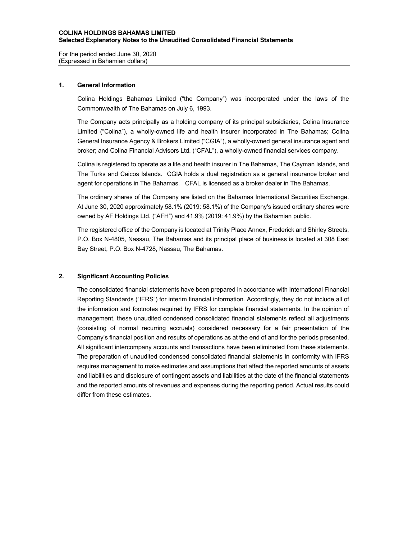#### **COLINA HOLDINGS BAHAMAS LIMITED Selected Explanatory Notes to the Unaudited Consolidated Financial Statements**

For the period ended June 30, 2020 (Expressed in Bahamian dollars)

#### **1. General Information**

Colina Holdings Bahamas Limited ("the Company") was incorporated under the laws of the Commonwealth of The Bahamas on July 6, 1993.

The Company acts principally as a holding company of its principal subsidiaries, Colina Insurance Limited ("Colina"), a wholly-owned life and health insurer incorporated in The Bahamas; Colina General Insurance Agency & Brokers Limited ("CGIA"), a wholly-owned general insurance agent and broker; and Colina Financial Advisors Ltd. ("CFAL"), a wholly-owned financial services company.

Colina is registered to operate as a life and health insurer in The Bahamas, The Cayman Islands, and The Turks and Caicos Islands. CGIA holds a dual registration as a general insurance broker and agent for operations in The Bahamas. CFAL is licensed as a broker dealer in The Bahamas.

The ordinary shares of the Company are listed on the Bahamas International Securities Exchange. At June 30, 2020 approximately 58.1% (2019: 58.1%) of the Company's issued ordinary shares were owned by AF Holdings Ltd. ("AFH") and 41.9% (2019: 41.9%) by the Bahamian public.

The registered office of the Company is located at Trinity Place Annex, Frederick and Shirley Streets, P.O. Box N-4805, Nassau, The Bahamas and its principal place of business is located at 308 East Bay Street, P.O. Box N-4728, Nassau, The Bahamas.

#### **2. Significant Accounting Policies**

The consolidated financial statements have been prepared in accordance with International Financial Reporting Standards ("IFRS") for interim financial information. Accordingly, they do not include all of the information and footnotes required by IFRS for complete financial statements. In the opinion of management, these unaudited condensed consolidated financial statements reflect all adjustments (consisting of normal recurring accruals) considered necessary for a fair presentation of the Company's financial position and results of operations as at the end of and for the periods presented. All significant intercompany accounts and transactions have been eliminated from these statements. The preparation of unaudited condensed consolidated financial statements in conformity with IFRS requires management to make estimates and assumptions that affect the reported amounts of assets and liabilities and disclosure of contingent assets and liabilities at the date of the financial statements and the reported amounts of revenues and expenses during the reporting period. Actual results could differ from these estimates.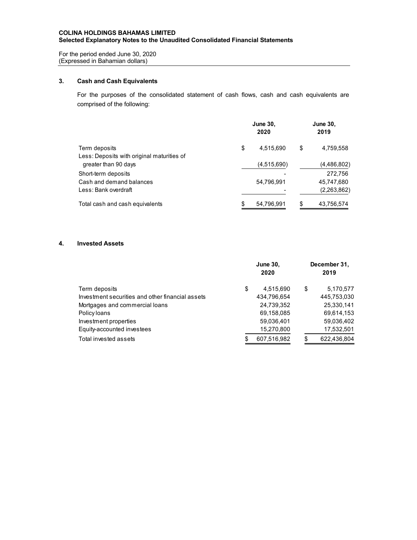## **COLINA HOLDINGS BAHAMAS LIMITED Selected Explanatory Notes to the Unaudited Consolidated Financial Statements**

For the period ended June 30, 2020 (Expressed in Bahamian dollars)

# **3. Cash and Cash Equivalents**

For the purposes of the consolidated statement of cash flows, cash and cash equivalents are comprised of the following:

|                                            | June 30,<br>2020 | <b>June 30,</b><br>2019 |             |  |
|--------------------------------------------|------------------|-------------------------|-------------|--|
| Term deposits                              | \$<br>4,515,690  | \$                      | 4,759,558   |  |
| Less: Deposits with original maturities of |                  |                         |             |  |
| greater than 90 days                       | (4,515,690)      |                         | (4,486,802) |  |
| Short-term deposits                        |                  |                         | 272.756     |  |
| Cash and demand balances                   | 54,796,991       |                         | 45,747,680  |  |
| Less: Bank overdraft                       |                  |                         | (2,263,862) |  |
| Total cash and cash equivalents            | 54,796,991       |                         | 43,756,574  |  |

## **4. Invested Assets**

|                                                  | <b>June 30,</b><br>2020 |    | December 31,<br>2019 |
|--------------------------------------------------|-------------------------|----|----------------------|
| Term deposits                                    | \$<br>4,515,690         | \$ | 5,170,577            |
| Investment securities and other financial assets | 434.796.654             |    | 445,753,030          |
| Mortgages and commercial loans                   | 24,739,352              |    | 25,330,141           |
| Policy loans                                     | 69,158,085              |    | 69,614,153           |
| Investment properties                            | 59,036,401              |    | 59,036,402           |
| Equity-accounted investees                       | 15,270,800              |    | 17,532,501           |
| Total invested assets                            | 607,516,982             | S  | 622,436,804          |